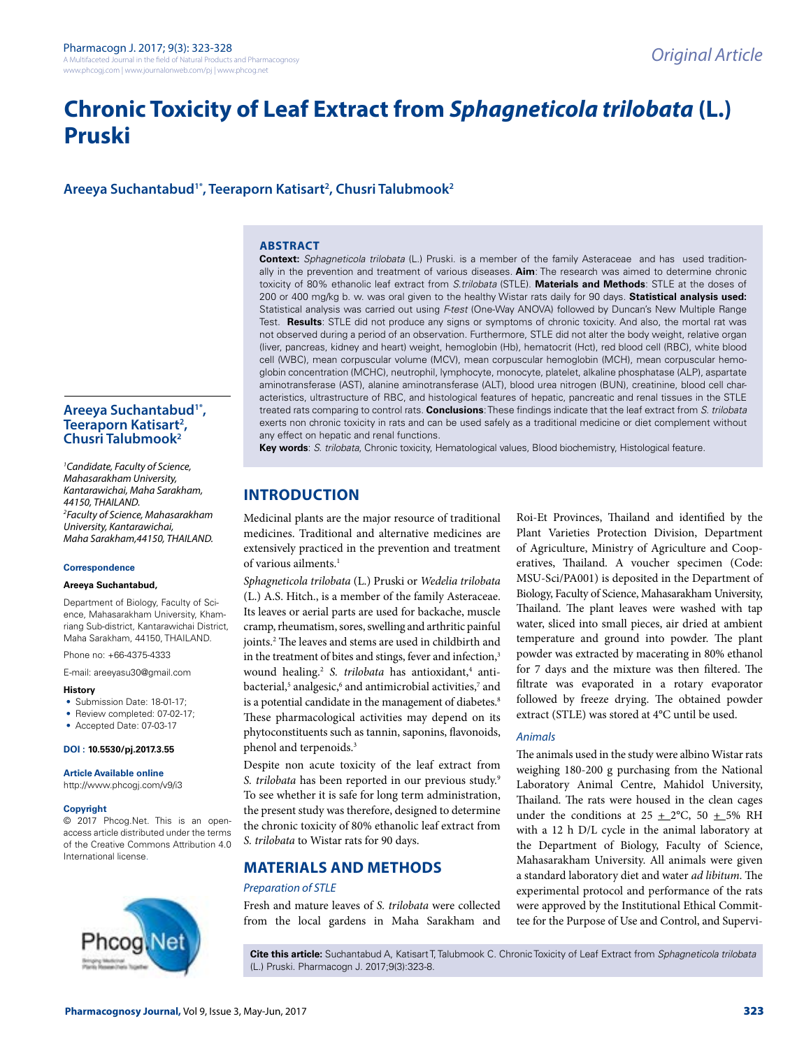# **Chronic Toxicity of Leaf Extract from** *Sphagneticola trilobata* **(L.) Pruski**

**Areeya Suchantabud1\*, Teeraporn Katisart2 , Chusri Talubmook2**

## **ABSTRACT**

**Context:** *Sphagneticola trilobata* (L.) Pruski. is a member of the family Asteraceae and has used traditionally in the prevention and treatment of various diseases. **Aim**: The research was aimed to determine chronic toxicity of 80% ethanolic leaf extract from *S.trilobata* (STLE). **Materials and Methods**: STLE at the doses of 200 or 400 mg/kg b. w. was oral given to the healthy Wistar rats daily for 90 days. **Statistical analysis used:** Statistical analysis was carried out using *F-test* (One-Way ANOVA) followed by Duncan's New Multiple Range Test. **Results**: STLE did not produce any signs or symptoms of chronic toxicity. And also, the mortal rat was not observed during a period of an observation. Furthermore, STLE did not alter the body weight, relative organ (liver, pancreas, kidney and heart) weight, hemoglobin (Hb), hematocrit (Hct), red blood cell (RBC), white blood cell (WBC), mean corpuscular volume (MCV), mean corpuscular hemoglobin (MCH), mean corpuscular hemoglobin concentration (MCHC), neutrophil, lymphocyte, monocyte, platelet, alkaline phosphatase (ALP), aspartate aminotransferase (AST), alanine aminotransferase (ALT), blood urea nitrogen (BUN), creatinine, blood cell characteristics, ultrastructure of RBC, and histological features of hepatic, pancreatic and renal tissues in the STLE treated rats comparing to control rats. **Conclusions**: These findings indicate that the leaf extract from *S. trilobata* exerts non chronic toxicity in rats and can be used safely as a traditional medicine or diet complement without any effect on hepatic and renal functions.

**Key words**: *S. trilobata*, Chronic toxicity, Hematological values, Blood biochemistry, Histological feature.

## **INTRODUCTION**

Medicinal plants are the major resource of traditional medicines. Traditional and alternative medicines are extensively practiced in the prevention and treatment of various ailments.1

*Sphagneticola trilobata* (L.) Pruski or *Wedelia trilobata* (L.) A.S. Hitch., is a member of the family Asteraceae. Its leaves or aerial parts are used for backache, muscle cramp, rheumatism, sores, swelling and arthritic painful joints.2 The leaves and stems are used in childbirth and in the treatment of bites and stings, fever and infection,<sup>3</sup> wound healing.<sup>2</sup> S. trilobata has antioxidant,<sup>4</sup> antibacterial,<sup>5</sup> analgesic,<sup>6</sup> and antimicrobial activities,<sup>7</sup> and is a potential candidate in the management of diabetes.<sup>8</sup> These pharmacological activities may depend on its phytoconstituents such as tannin, saponins, flavonoids, phenol and terpenoids.3

Despite non acute toxicity of the leaf extract from *S. trilobata* has been reported in our previous study.9 To see whether it is safe for long term administration, the present study was therefore, designed to determine the chronic toxicity of 80% ethanolic leaf extract from *S. trilobata* to Wistar rats for 90 days.

## **MATERIALS AND METHODS**

## *Preparation of STLE*

Fresh and mature leaves of *S. trilobata* were collected from the local gardens in Maha Sarakham and Roi-Et Provinces, Thailand and identified by the Plant Varieties Protection Division, Department of Agriculture, Ministry of Agriculture and Cooperatives, Thailand. A voucher specimen (Code: MSU-Sci/PA001) is deposited in the Department of Biology, Faculty of Science, Mahasarakham University, Thailand. The plant leaves were washed with tap water, sliced into small pieces, air dried at ambient temperature and ground into powder. The plant powder was extracted by macerating in 80% ethanol for 7 days and the mixture was then filtered. The filtrate was evaporated in a rotary evaporator followed by freeze drying. The obtained powder extract (STLE) was stored at 4°C until be used.

#### *Animals*

The animals used in the study were albino Wistar rats weighing 180-200 g purchasing from the National Laboratory Animal Centre, Mahidol University, Thailand. The rats were housed in the clean cages under the conditions at  $25 \pm 2^{\circ}$ C, 50  $\pm$  5% RH with a 12 h D/L cycle in the animal laboratory at the Department of Biology, Faculty of Science, Mahasarakham University. All animals were given a standard laboratory diet and water *ad libitum*. The experimental protocol and performance of the rats were approved by the Institutional Ethical Committee for the Purpose of Use and Control, and Supervi

## Areeya Suchantabud<sup>1\*</sup>,<br>Teeraporn Katisart<sup>2</sup>,<br>Chusri Talubmook<sup>2</sup> **Teeraporn Katisart<sup>2</sup>,**

*1 Candidate, Faculty of Science, Mahasarakham University, Kantarawichai, Maha Sarakham, 44150, THAILAND. 2 Faculty of Science, Mahasarakham University, Kantarawichai, Maha Sarakham,44150, THAILAND.*

#### **Correspondence**

#### **Areeya Suchantabud,**

Department of Biology, Faculty of Science, Mahasarakham University, Khamriang Sub-district, Kantarawichai District, Maha Sarakham, 44150, THAILAND.

Phone no: +66-4375-4333

E-mail: areeyasu30@gmail.com

#### **History**

- Submission Date: 18-01-17;
- Review completed: 07-02-17;
- Accepted Date: 07-03-17

## **DOI : 10.5530/pj.2017.3.55**

**Article Available online**  http://www.phcogj.com/v9/i3

## **Copyright**

© 2017 Phcog.Net. This is an openaccess article distributed under the terms of the Creative Commons Attribution 4.0 International license.



**Cite this article:** Suchantabud A, Katisart T, Talubmook C. Chronic Toxicity of Leaf Extract from *Sphagneticola trilobata*  (L.) Pruski. Pharmacogn J. 2017;9(3):323-8.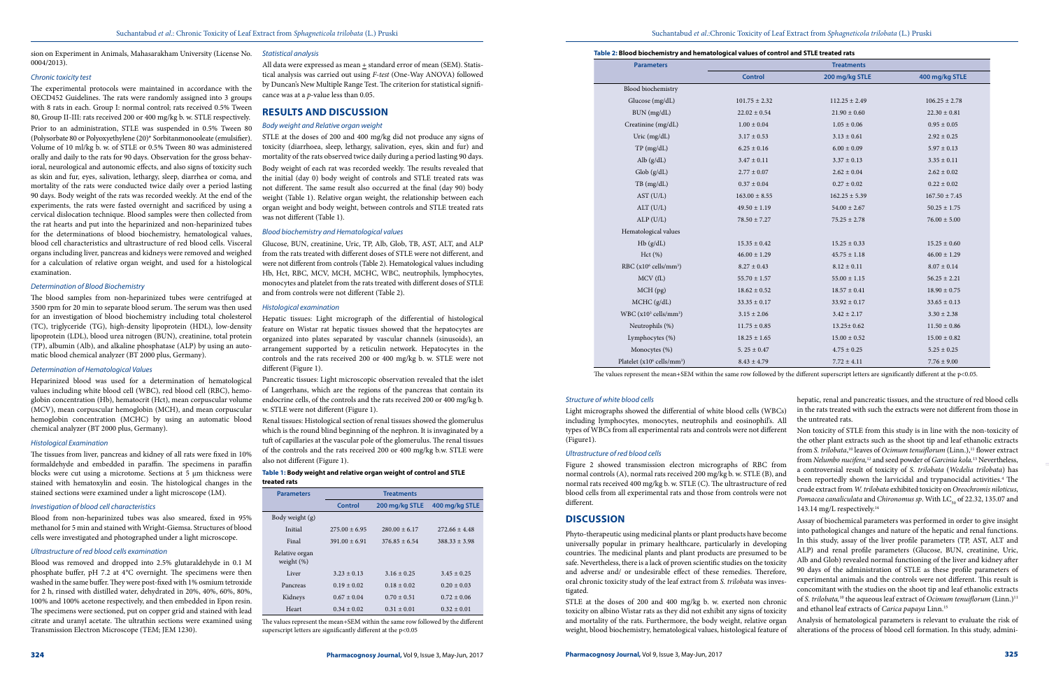## *Statistical analysis*

All data were expressed as mean + standard error of mean (SEM). Statistical analysis was carried out using *F-test* (One-Way ANOVA) followed by Duncan's New Multiple Range Test. The criterion for statistical significance was at a *p*-value less than 0.05.

## **RESULTS AND DISCUSSION**

### *Body weight and Relative organ weight*

STLE at the doses of 200 and 400 mg/kg did not produce any signs of toxicity (diarrhoea, sleep, lethargy, salivation, eyes, skin and fur) and mortality of the rats observed twice daily during a period lasting 90 days. Body weight of each rat was recorded weekly. The results revealed that the initial (day 0) body weight of controls and STLE treated rats was not different. The same result also occurred at the final (day 90) body weight (Table 1). Relative organ weight, the relationship between each organ weight and body weight, between controls and STLE treated rats was not different (Table 1).

## *Blood biochemistry and Hematological values*

Glucose, BUN, creatinine, Uric, TP, Alb, Glob, TB, AST, ALT, and ALP from the rats treated with different doses of STLE were not different, and were not different from controls (Table 2). Hematological values including Hb, Hct, RBC, MCV, MCH, MCHC, WBC, neutrophils, lymphocytes, monocytes and platelet from the rats treated with different doses of STLE and from controls were not different (Table 2).

## *Histological examination*

Hepatic tissues: Light micrograph of the differential of histological feature on Wistar rat hepatic tissues showed that the hepatocytes are organized into plates separated by vascular channels (sinusoids), an arrangement supported by a reticulin network. Hepatocytes in the controls and the rats received 200 or 400 mg/kg b. w. STLE were not different (Figure 1).

Pancreatic tissues: Light microscopic observation revealed that the islet of Langerhans, which are the regions of the pancreas that contain its endocrine cells, of the controls and the rats received 200 or 400 mg/kg b. w. STLE were not different (Figure 1).

Renal tissues: Histological section of renal tissues showed the glomerulus which is the round blind beginning of the nephron. It is invaginated by a tuft of capillaries at the vascular pole of the glomerulus. The renal tissues of the controls and the rats received 200 or 400 mg/kg b.w. STLE were also not different (Figure 1).

sion on Experiment in Animals, Mahasarakham University (License No. 0004/2013).

### *Chronic toxicity test*

The experimental protocols were maintained in accordance with the OECD452 Guidelines. The rats were randomly assigned into 3 groups with 8 rats in each. Group I: normal control; rats received 0.5% Tween 80, Group II-III: rats received 200 or 400 mg/kg b. w. STLE respectively.

> The values represent the mean+SEM within the same row followed by the different superscript letters are significantly different at the p<0.05

Prior to an administration, STLE was suspended in 0.5% Tween 80 (Polysorbate 80 or Polyoxyethylene (20)\* Sorbitanmonooleate (emulsifier). Volume of 10 ml/kg b. w. of STLE or 0.5% Tween 80 was administered orally and daily to the rats for 90 days. Observation for the gross behavioral, neurological and autonomic effects, and also signs of toxicity such as skin and fur, eyes, salivation, lethargy, sleep, diarrhea or coma, and mortality of the rats were conducted twice daily over a period lasting 90 days. Body weight of the rats was recorded weekly. At the end of the experiments, the rats were fasted overnight and sacrificed by using a cervical dislocation technique. Blood samples were then collected from the rat hearts and put into the heparinized and non-heparinized tubes for the determinations of blood biochemistry, hematological values, blood cell characteristics and ultrastructure of red blood cells. Visceral organs including liver, pancreas and kidneys were removed and weighed for a calculation of relative organ weight, and used for a histological examination.

## *Determination of Blood Biochemistry*

The blood samples from non-heparinized tubes were centrifuged at 3500 rpm for 20 min to separate blood serum. The serum was then used for an investigation of blood biochemistry including total cholesterol (TC), triglyceride (TG), high-density lipoprotein (HDL), low-density lipoprotein (LDL), blood urea nitrogen (BUN), creatinine, total protein (TP), albumin (Alb), and alkaline phosphatase (ALP) by using an automatic blood chemical analyzer (BT 2000 plus, Germany).

## *Determination of Hematological Values*

tigated. concomitant with the studies on the shoot tip and leaf ethanolic extracts of *S. trilobata*,<sup>10</sup> the aqueous leaf extract of *Ocimum tenuiflorum* (Linn.)<sup>11</sup>

Heparinized blood was used for a determination of hematological values including white blood cell (WBC), red blood cell (RBC), hemoglobin concentration (Hb), hematocrit (Hct), mean corpuscular volume (MCV), mean corpuscular hemoglobin (MCH), and mean corpuscular hemoglobin concentration (MCHC) by using an automatic blood chemical analyzer (BT 2000 plus, Germany).

## *Histological Examination*

The tissues from liver, pancreas and kidney of all rats were fixed in 10% formaldehyde and embedded in paraffin. The specimens in paraffin blocks were cut using a microtome. Sections at 5 µm thickness were stained with hematoxylin and eosin. The histological changes in the stained sections were examined under a light microscope (LM).

## *Investigation of blood cell characteristics*

Blood from non-heparinized tubes was also smeared, fixed in 95% methanol for 5 min and stained with Wright-Giemsa. Structures of blood cells were investigated and photographed under a light microscope.

## *Ultrastructure of red blood cells examination*

Blood was removed and dropped into 2.5% glutaraldehyde in 0.1 M phosphate buffer, pH 7.2 at 4°C overnight. The specimens were then washed in the same buffer. They were post-fixed with 1% osmium tetroxide for 2 h, rinsed with distilled water, dehydrated in 20%, 40%, 60%, 80%, 100% and 100% acetone respectively, and then embedded in Epon resin. The specimens were sectioned, put on copper grid and stained with lead citrate and uranyl acetate. The ultrathin sections were examined using Transmission Electron Microscope (TEM; JEM 1230).

## **Table 1: Body weight and relative organ weight of control and STLE treated rats**

| <b>Parameters</b>               | <b>Treatments</b> |                 |                 |  |
|---------------------------------|-------------------|-----------------|-----------------|--|
|                                 | Control           | 200 mg/kg STLE  | 400 mg/kg STLE  |  |
| Body weight (g)                 |                   |                 |                 |  |
| Initial                         | $275.00 + 6.95$   | $280.00 + 6.17$ | $272.66 + 4.48$ |  |
| Final                           | $391.00 \pm 6.91$ | $376.85 + 6.54$ | $388.33 + 3.98$ |  |
| Relative organ<br>weight $(\%)$ |                   |                 |                 |  |
| Liver                           | $3.23 + 0.13$     | $3.16 + 0.25$   | $3.45 + 0.25$   |  |
| Pancreas                        | $0.19 \pm 0.02$   | $0.18 \pm 0.02$ | $0.20 \pm 0.03$ |  |
| Kidneys                         | $0.67 \pm 0.04$   | $0.70 \pm 0.51$ | $0.72 \pm 0.06$ |  |
| Heart                           | $0.34 \pm 0.02$   | $0.31 \pm 0.01$ | $0.32 \pm 0.01$ |  |

| <b>Parameters</b>                                  | <b>Treatments</b> |                   |                   |  |
|----------------------------------------------------|-------------------|-------------------|-------------------|--|
|                                                    | <b>Control</b>    | 200 mg/kg STLE    | 400 mg/kg STLE    |  |
| Blood biochemistry                                 |                   |                   |                   |  |
| Glucose (mg/dL)                                    | $101.75 \pm 2.32$ | $112.25 \pm 2.49$ | $106.25 \pm 2.78$ |  |
| BUN (mg/dL)                                        | $22.02 \pm 0.54$  | $21.90 \pm 0.60$  | $22.30 \pm 0.81$  |  |
| Creatinine (mg/dL)                                 | $1.00 \pm 0.04$   | $1.05 \pm 0.06$   | $0.95 \pm 0.05$   |  |
| Uric (mg/dL)                                       | $3.17 \pm 0.53$   | $3.13 \pm 0.61$   | $2.92 \pm 0.25$   |  |
| TP (mg/dL)                                         | $6.25 \pm 0.16$   | $6.00\pm0.09$     | $5.97 \pm 0.13$   |  |
| Alb $(g/dL)$                                       | $3.47 \pm 0.11$   | $3.37 \pm 0.13$   | $3.35 \pm 0.11$   |  |
| Glob(g/dL)                                         | $2.77 \pm 0.07$   | $2.62 \pm 0.04$   | $2.62 \pm 0.02$   |  |
| TB (mg/dL)                                         | $0.37 \pm 0.04$   | $0.27 \pm 0.02$   | $0.22 \pm 0.02$   |  |
| AST (U/L)                                          | $163.00 \pm 8.55$ | $162.25 \pm 5.39$ | $167.50 \pm 7.45$ |  |
| ALT (U/L)                                          | $49.50 \pm 1.19$  | $54.00 \pm 2.67$  | $50.25 \pm 1.75$  |  |
| ALP(U/L)                                           | $78.50 \pm 7.27$  | $75.25 \pm 2.78$  | $76.00\pm5.00$    |  |
| Hematological values                               |                   |                   |                   |  |
| Hb(g/dL)                                           | $15.35 \pm 0.42$  | $15.25 \pm 0.33$  | $15.25 \pm 0.60$  |  |
| Hct(%)                                             | $46.00 \pm 1.29$  | $45.75 \pm 1.18$  | $46.00 \pm 1.29$  |  |
| RBC $(x10^6 \text{ cells/mm}^3)$                   | $8.27 \pm 0.43$   | $8.12 \pm 0.11$   | $8.07 \pm 0.14$   |  |
| MCV (fL)                                           | $55.70 \pm 1.57$  | $55.00 \pm 1.15$  | $56.25 \pm 2.21$  |  |
| MCH(pg)                                            | $18.62 \pm 0.52$  | $18.57 \pm 0.41$  | $18.90 \pm 0.75$  |  |
| MCHC (g/dL)                                        | $33.35 \pm 0.17$  | $33.92 \pm 0.17$  | $33.65 \pm 0.13$  |  |
| WBC $(x10^3 \text{ cells/mm}^3)$                   | $3.15 \pm 2.06$   | $3.42 \pm 2.17$   | $3.30 \pm 2.38$   |  |
| Neutrophils (%)                                    | $11.75 \pm 0.85$  | $13.25 \pm 0.62$  | $11.50 \pm 0.86$  |  |
| Lymphocytes (%)                                    | $18.25 \pm 1.65$  | $15.00 \pm 0.52$  | $15.00 \pm 0.82$  |  |
| Monocytes (%)                                      | 5.25 $\pm$ 0.47   | $4.75 \pm 0.25$   | $5.25\pm0.25$     |  |
| Platelet (x10 <sup>6</sup> cells/mm <sup>3</sup> ) | $8.43 \pm 4.79$   | $7.72 \pm 4.11$   | $7.76 \pm 9.00$   |  |

The values represent the mean+SEM within the same row followed by the different superscript letters are significantly different at the p<0.05.

#### *Structure of white blood cells*

STLE at the doses of 200 and 400 mg/kg b. w. exerted non chronic toxicity on albino Wistar rats as they did not exhibit any signs of toxicity and mortality of the rats. Furthermore, the body weight, relative organ weight, blood biochemistry, hematological values, histological feature of

Light micrographs showed the differential of white blood cells (WBCs) including lymphocytes, monocytes, neutrophils and eosinophil's. All types of WBCs from all experimental rats and controls were not different (Figure1). *Ultrastructure of red blood cells*  Figure 2 showed transmission electron micrographs of RBC from normal controls (A), normal rats received 200 mg/kg b. w. STLE (B), and normal rats received 400 mg/kg b. w. STLE (C). The ultrastructure of red blood cells from all experimental rats and those from controls were not different. **DISCUSSION** Phyto-therapeutic using medicinal plants or plant products have become universally popular in primary healthcare, particularly in developing countries. The medicinal plants and plant products are presumed to be safe. Nevertheless, there is a lack of proven scientific studies on the toxicity and adverse and/ or undesirable effect of these remedies. Therefore, oral chronic toxicity study of the leaf extract from *S. trilobata* was invesin the rats treated with such the extracts were not different from those in the untreated rats. Non toxicity of STLE from this study is in line with the non-toxicity of the other plant extracts such as the shoot tip and leaf ethanolic extracts from *S. trilobata*,<sup>10</sup> leaves of *Ocimum tenuiflorum* (Linn.),<sup>11</sup> flower extract from *Nelumbo nucifera,*12 and seed powder of *Garcinia kola.*13 Nevertheless, a controversial result of toxicity of *S. trilobata* (*Wedelia trilobata*) has been reportedly shown the larvicidal and trypanocidal activities.<sup>4</sup> The crude extract from *W. trilobata* exhibited toxicity on *Oreochromis niloticus*, *Pomacea canaliculata* and *Chironomus sp*. With LC<sub>50</sub> of 22.32, 135.07 and 143.14 mg/L respectively.14 Assay of biochemical parameters was performed in order to give insight into pathological changes and nature of the hepatic and renal functions. In this study, assay of the liver profile parameters (TP, AST, ALT and ALP) and renal profile parameters (Glucose, BUN, creatinine, Uric, Alb and Glob) revealed normal functioning of the liver and kidney after 90 days of the administration of STLE as these profile parameters of experimental animals and the controls were not different. This result is

hepatic, renal and pancreatic tissues, and the structure of red blood cells

and ethanol leaf extracts of *Carica papaya* Linn.15 Analysis of hematological parameters is relevant to evaluate the risk of alterations of the process of blood cell formation. In this study, admini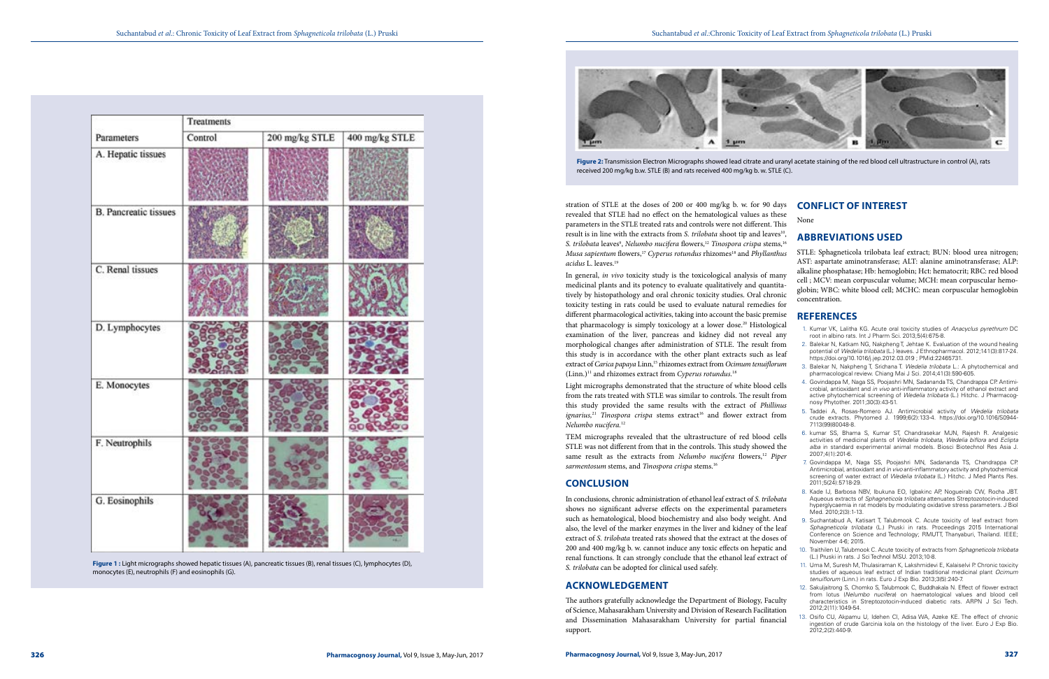|                              | Treatments |                |                |  |
|------------------------------|------------|----------------|----------------|--|
| Parameters                   | Control    | 200 mg/kg STLE | 400 mg/kg STLE |  |
| A. Hepatic tissues           |            |                |                |  |
| <b>B.</b> Pancreatic tissues |            |                |                |  |
| C. Renal tissues             |            |                |                |  |
| D. Lymphocytes               |            |                |                |  |
| E. Monocytes                 |            |                |                |  |
| F. Neutrophils               |            |                |                |  |
| G. Eosinophils               |            |                |                |  |

In general, *in vivo* toxicity study is the toxicological analysis of many medicinal plants and its potency to evaluate qualitatively and quantitatively by histopathology and oral chronic toxicity studies. Oral chronic toxicity testing in rats could be used to evaluate natural remedies for different pharmacological activities, taking into account the basic premise that pharmacology is simply toxicology at a lower dose.<sup>20</sup> Histological examination of the liver, pancreas and kidney did not reveal any morphological changes after administration of STLE. The result from this study is in accordance with the other plant extracts such as leaf extract of *Carica papaya* Linn,15 rhizomes extract from *Ocimum tenuiflorum* (Linn.)11 and rhizomes extract from *Cyperus rotundus.*<sup>18</sup>

stration of STLE at the doses of 200 or 400 mg/kg b. w. for 90 days revealed that STLE had no effect on the hematological values as these parameters in the STLE treated rats and controls were not different. This result is in line with the extracts from *S. trilobata* shoot tip and leaves<sup>10</sup>, S. *trilobata* leaves<sup>9</sup>, *Nelumbo nucifera* flowers,<sup>12</sup> *Tinospora crispa* stems,<sup>16</sup> *Musa sapientum* flowers,<sup>17</sup> *Cyperus rotundus* rhizomes<sup>18</sup> and *Phyllanthus acidus* L. leaves.19 None

- 1. Kumar VK, Lalitha KG. Acute oral toxicity studies of *Anacyclus pyrethrum* DC root in albino rats. Int J Pharm Sci. 2013;5(4):675-8.
- 2. Balekar N, Katkam NG, Nakpheng T, Jehtae K. Evaluation of the wound healing potential of *Wedelia trilobata* (L.) leaves. J Ethnopharmacol. 2012;141(3):817-24. <https://doi.org/10.1016/j.jep.2012.03.019>; PMid:22465731.
- 3. Balekar N, Nakpheng T, Srichana T. *Wedelia trilobata* L.: A phytochemical and pharmacological review. Chiang Mai J Sci. 2014;41(3):590-605.
- 4. Govindappa M, Naga SS, Poojashri MN, Sadananda TS, Chandrappa CP. Antimicrobial, antioxidant and *in vivo* anti-inflammatory activity of ethanol extract and active phytochemical screening of *Wedelia trilobata* (L.) Hitchc. J Pharmacognosy Phytother. 2011;30(3):43-51.
- 5. Taddei A, Rosas-Romero AJ. Antimicrobial activity of *Wedelia trilobata* crude extracts. Phytomed J. 1999;6(2):133-4. [https://doi.org/10.1016/S0944-](https://doi.org/10.1016/S0944-7113(99)80048-8) [7113\(99\)80048-8](https://doi.org/10.1016/S0944-7113(99)80048-8).
- 6. kumar SS, Bhama S, Kumar ST, Chandrasekar MJN, Rajesh R. Analgesic activities of medicinal plants of *Wedelia trilobata*, *Wedelia biflora* and *Eclipta alba* in standard experimental animal models. Biosci Biotechnol Res Asia J. 2007;4(1):201-6.
- 7. Govindappa M, Naga SS, Poojashri MN, Sadananda TS, Chandrappa CP. Antimicrobial, antioxidant and *in vivo* anti-inflammatory activity and phytochemical screening of water extract of *Wedelia trilobata* (L.) Hitchc. J Med Plants Res. 2011;5(24):5718-29.
- 8. Kade IJ, Barbosa NBV, Ibukuna EO, Igbakinc AP, Nogueirab CW, Rocha JBT. Aqueous extracts of *Sphagneticola trilobata* attenuates Streptozotocin-induced hyperglycaemia in rat models by modulating oxidative stress parameters. J Biol Med. 2010;2(3):1-13.
- 9. Suchantabud A, Katisart T, Talubmook C. Acute toxicity of leaf extract from *Sphagneticola trilobata* (L.) Pruski in rats. Proceedings 2015 International Conference on Science and Technology; RMUTT, Thanyaburi, Thailand. IEEE; November 4-6; 2015.
- 10. Traithilen U, Talubmook C. Acute toxicity of extracts from *Sphagneticola trilobata* (L.) Pruski in rats. J Sci Technol MSU. 2013;10-8.
- 11. Uma M, Suresh M, Thulasiraman K, Lakshmidevi E, Kalaiselvi P. Chronic toxicity studies of aqueous leaf extract of Indian traditional medicinal plant *Ocimum tenuiflorum* (Linn.) in rats. Euro J Exp Bio. 2013;3(5):240-7.
- 12. Sakuljaitrong S, Chomko S, Talubmook C, Buddhakala N. Effect of flower extract from lotus (*Nelumbo nucifera*) on haematological values and blood cell characteristics in Streptozotocin-induced diabetic rats. ARPN J Sci Tech. 2012;2(11):1049-54.
- 13. Osifo CU, Akpamu U, Idehen CI, Adisa WA, Azeke KE. The effect of chronic ingestion of crude Garcinia kola on the histology of the liver. Euro J Exp Bio.  $2012:2(2):440-9$

Light micrographs demonstrated that the structure of white blood cells from the rats treated with STLE was similar to controls. The result from this study provided the same results with the extract of *Phillinus ignarius*,<sup>21</sup> *Tinospora crispa* stems extract<sup>16</sup> and flower extract from *Nelumbo nucifera.*<sup>12</sup>

TEM micrographs revealed that the ultrastructure of red blood cells STLE was not different from that in the controls. This study showed the same result as the extracts from *Nelumbo nucifera* flowers,<sup>12</sup> Piper *sarmentosum* stems, and *Tinospora crispa* stems.16

## **CONCLUSION**

In conclusions, chronic administration of ethanol leaf extract of *S. trilobata* shows no significant adverse effects on the experimental parameters such as hematological, blood biochemistry and also body weight. And also, the level of the marker enzymes in the liver and kidney of the leaf extract of *S. trilobata* treated rats showed that the extract at the doses of 200 and 400 mg/kg b. w. cannot induce any toxic effects on hepatic and renal functions. It can strongly conclude that the ethanol leaf extract of *S. trilobata* can be adopted for clinical used safely.

## **ACKNOWLEDGEMENT**

The authors gratefully acknowledge the Department of Biology, Faculty of Science, Mahasarakham University and Division of Research Facilitation and Dissemination Mahasarakham University for partial financial support.

## **CONFLICT OF INTEREST**

## **ABBREVIATIONS USED**

STLE: Sphagneticola trilobata leaf extract; BUN: blood urea nitrogen; AST: aspartate aminotransferase; ALT: alanine aminotransferase; ALP: alkaline phosphatase; Hb: hemoglobin; Hct: hematocrit; RBC: red blood cell ; MCV: mean corpuscular volume; MCH: mean corpuscular hemoglobin; WBC: white blood cell; MCHC: mean corpuscular hemoglobin concentration.

## **REFERENCES**

**Figure 1 :** Light micrographs showed hepatic tissues (A), pancreatic tissues (B), renal tissues (C), lymphocytes (D), monocytes (E), neutrophils (F) and eosinophils (G).

**Figure 2:** Transmission Electron Micrographs showed lead citrate and uranyl acetate staining of the red blood cell ultrastructure in control (A), rats



received 200 mg/kg b.w. STLE (B) and rats received 400 mg/kg b. w. STLE (C).